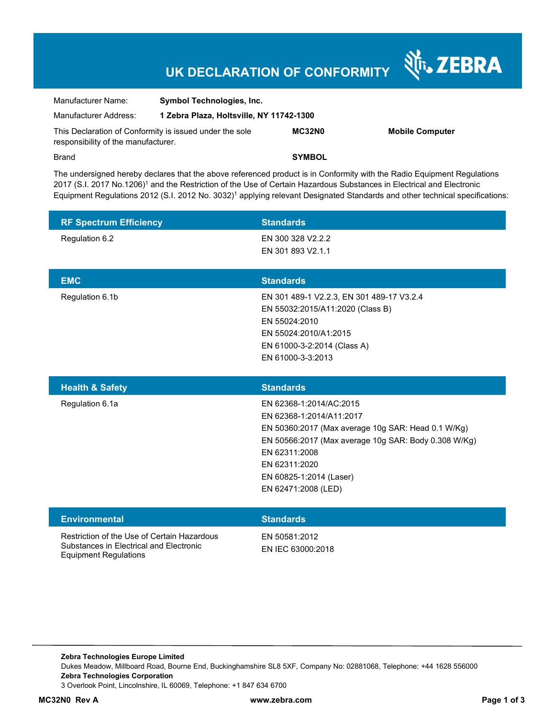# **UK DECLARATION OF CONFORMITY**

Nr. ZEBRA

| Manufacturer Name:                                                                             | <b>Symbol Technologies, Inc.</b>         |               |                        |  |
|------------------------------------------------------------------------------------------------|------------------------------------------|---------------|------------------------|--|
| Manufacturer Address:                                                                          | 1 Zebra Plaza, Holtsville, NY 11742-1300 |               |                        |  |
| This Declaration of Conformity is issued under the sole<br>responsibility of the manufacturer. |                                          | MC32N0        | <b>Mobile Computer</b> |  |
| <b>Brand</b>                                                                                   |                                          | <b>SYMBOL</b> |                        |  |

The undersigned hereby declares that the above referenced product is in Conformity with the Radio Equipment Regulations 2017 (S.I. 2017 No.1206)<sup>1</sup> and the Restriction of the Use of Certain Hazardous Substances in Electrical and Electronic Equipment Regulations 2012 (S.I. 2012 No. 3032)<sup>1</sup> applying relevant Designated Standards and other technical specifications:

| <b>RF Spectrum Efficiency</b> | <b>Standards</b>                                                                                                                                                                                                                                      |
|-------------------------------|-------------------------------------------------------------------------------------------------------------------------------------------------------------------------------------------------------------------------------------------------------|
| Regulation 6.2                | EN 300 328 V2.2.2<br>EN 301 893 V2.1.1                                                                                                                                                                                                                |
| <b>EMC</b>                    | <b>Standards</b>                                                                                                                                                                                                                                      |
| Regulation 6.1b               | EN 301 489-1 V2.2.3, EN 301 489-17 V3.2.4<br>EN 55032:2015/A11:2020 (Class B)<br>EN 55024:2010<br>EN 55024:2010/A1:2015<br>EN 61000-3-2:2014 (Class A)<br>EN 61000-3-3:2013                                                                           |
|                               |                                                                                                                                                                                                                                                       |
| <b>Health &amp; Safety</b>    | <b>Standards</b>                                                                                                                                                                                                                                      |
| Regulation 6.1a               | EN 62368-1:2014/AC:2015<br>EN 62368-1:2014/A11:2017<br>EN 50360:2017 (Max average 10g SAR: Head 0.1 W/Kg)<br>EN 50566:2017 (Max average 10g SAR: Body 0.308 W/Kg)<br>EN 62311:2008<br>EN 62311:2020<br>EN 60825-1:2014 (Laser)<br>EN 62471:2008 (LED) |
| <b>Environmental</b>          | <b>Standards</b>                                                                                                                                                                                                                                      |

**Zebra Technologies Europe Limited**  Dukes Meadow, Millboard Road, Bourne End, Buckinghamshire SL8 5XF, Company No: 02881068, Telephone: +44 1628 556000 **Zebra Technologies Corporation**  3 Overlook Point, Lincolnshire, IL 60069, Telephone: +1 847 634 6700

Equipment Regulations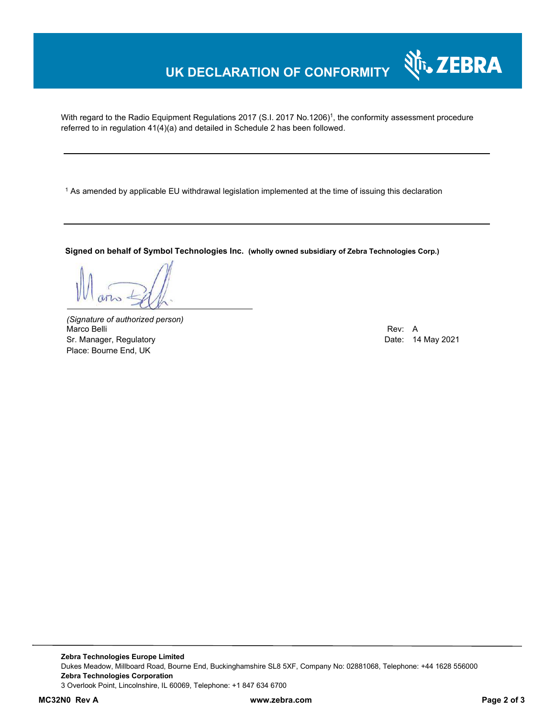## **UK DECLARATION OF CONFORMITY**

With regard to the Radio Equipment Regulations 2017 (S.I. 2017 No.1206)<sup>1</sup>, the conformity assessment procedure referred to in regulation 41(4)(a) and detailed in Schedule 2 has been followed.

1 As amended by applicable EU withdrawal legislation implemented at the time of issuing this declaration

**Signed on behalf of Symbol Technologies Inc. (wholly owned subsidiary of Zebra Technologies Corp.)**

*(Signature of authorized person)* Marco Belli Rev: A Sr. Manager, Regulatory **Date: 14 May 2021** Place: Bourne End, UK

र्शे<sub>ि</sub> ZEBRA